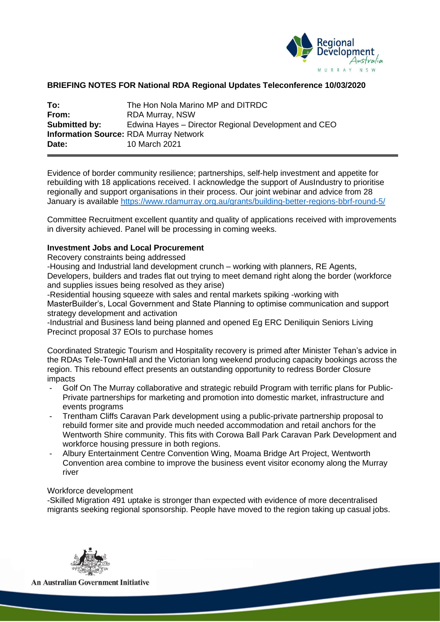

## **BRIEFING NOTES FOR National RDA Regional Updates Teleconference 10/03/2020**

| To:                  | The Hon Nola Marino MP and DITRDC                    |
|----------------------|------------------------------------------------------|
| From:                | <b>RDA Murray, NSW</b>                               |
| <b>Submitted by:</b> | Edwina Hayes – Director Regional Development and CEO |
|                      | <b>Information Source: RDA Murray Network</b>        |
| Date:                | 10 March 2021                                        |

Evidence of border community resilience; partnerships, self-help investment and appetite for rebuilding with 18 applications received. I acknowledge the support of AusIndustry to prioritise regionally and support organisations in their process. Our joint webinar and advice from 28 January is available<https://www.rdamurray.org.au/grants/building-better-regions-bbrf-round-5/>

Committee Recruitment excellent quantity and quality of applications received with improvements in diversity achieved. Panel will be processing in coming weeks.

#### **Investment Jobs and Local Procurement**

Recovery constraints being addressed

-Housing and Industrial land development crunch – working with planners, RE Agents, Developers, builders and trades flat out trying to meet demand right along the border (workforce and supplies issues being resolved as they arise)

-Residential housing squeeze with sales and rental markets spiking -working with MasterBuilder's, Local Government and State Planning to optimise communication and support strategy development and activation

-Industrial and Business land being planned and opened Eg ERC Deniliquin Seniors Living Precinct proposal 37 EOIs to purchase homes

Coordinated Strategic Tourism and Hospitality recovery is primed after Minister Tehan's advice in the RDAs Tele-TownHall and the Victorian long weekend producing capacity bookings across the region. This rebound effect presents an outstanding opportunity to redress Border Closure impacts

- Golf On The Murray collaborative and strategic rebuild Program with terrific plans for Public-Private partnerships for marketing and promotion into domestic market, infrastructure and events programs
- Trentham Cliffs Caravan Park development using a public-private partnership proposal to rebuild former site and provide much needed accommodation and retail anchors for the Wentworth Shire community. This fits with Corowa Ball Park Caravan Park Development and workforce housing pressure in both regions.
- Albury Entertainment Centre Convention Wing, Moama Bridge Art Project, Wentworth Convention area combine to improve the business event visitor economy along the Murray river

#### Workforce development

-Skilled Migration 491 uptake is stronger than expected with evidence of more decentralised migrants seeking regional sponsorship. People have moved to the region taking up casual jobs.



**An Australian Government Initiative**